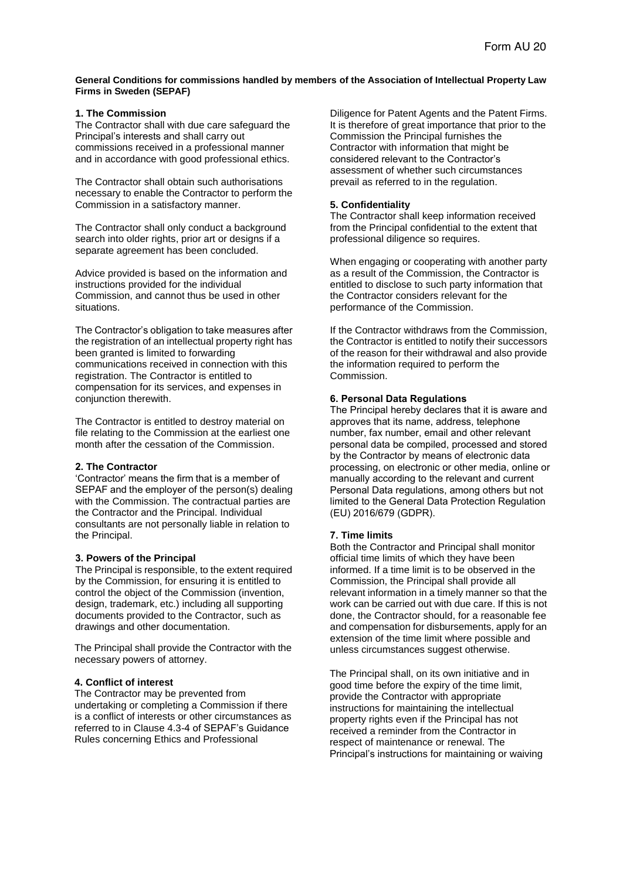## **General Conditions for commissions handled by members of the Association of Intellectual Property Law Firms in Sweden (SEPAF)**

# **1. The Commission**

The Contractor shall with due care safeguard the Principal's interests and shall carry out commissions received in a professional manner and in accordance with good professional ethics.

The Contractor shall obtain such authorisations necessary to enable the Contractor to perform the Commission in a satisfactory manner.

The Contractor shall only conduct a background search into older rights, prior art or designs if a separate agreement has been concluded.

Advice provided is based on the information and instructions provided for the individual Commission, and cannot thus be used in other situations.

The Contractor's obligation to take measures after the registration of an intellectual property right has been granted is limited to forwarding communications received in connection with this registration. The Contractor is entitled to compensation for its services, and expenses in conjunction therewith.

The Contractor is entitled to destroy material on file relating to the Commission at the earliest one month after the cessation of the Commission.

## **2. The Contractor**

'Contractor' means the firm that is a member of SEPAF and the employer of the person(s) dealing with the Commission. The contractual parties are the Contractor and the Principal. Individual consultants are not personally liable in relation to the Principal.

### **3. Powers of the Principal**

The Principal is responsible, to the extent required by the Commission, for ensuring it is entitled to control the object of the Commission (invention, design, trademark, etc.) including all supporting documents provided to the Contractor, such as drawings and other documentation.

The Principal shall provide the Contractor with the necessary powers of attorney.

# **4. Conflict of interest**

The Contractor may be prevented from undertaking or completing a Commission if there is a conflict of interests or other circumstances as referred to in Clause 4.3-4 of SEPAF's Guidance Rules concerning Ethics and Professional

Diligence for Patent Agents and the Patent Firms. It is therefore of great importance that prior to the Commission the Principal furnishes the Contractor with information that might be considered relevant to the Contractor's assessment of whether such circumstances prevail as referred to in the regulation.

# **5. Confidentiality**

The Contractor shall keep information received from the Principal confidential to the extent that professional diligence so requires.

When engaging or cooperating with another party as a result of the Commission, the Contractor is entitled to disclose to such party information that the Contractor considers relevant for the performance of the Commission.

If the Contractor withdraws from the Commission, the Contractor is entitled to notify their successors of the reason for their withdrawal and also provide the information required to perform the Commission.

# **6. Personal Data Regulations**

The Principal hereby declares that it is aware and approves that its name, address, telephone number, fax number, email and other relevant personal data be compiled, processed and stored by the Contractor by means of electronic data processing, on electronic or other media, online or manually according to the relevant and current Personal Data regulations, among others but not limited to the General Data Protection Regulation (EU) 2016/679 (GDPR).

# **7. Time limits**

Both the Contractor and Principal shall monitor official time limits of which they have been informed. If a time limit is to be observed in the Commission, the Principal shall provide all relevant information in a timely manner so that the work can be carried out with due care. If this is not done, the Contractor should, for a reasonable fee and compensation for disbursements, apply for an extension of the time limit where possible and unless circumstances suggest otherwise.

The Principal shall, on its own initiative and in good time before the expiry of the time limit, provide the Contractor with appropriate instructions for maintaining the intellectual property rights even if the Principal has not received a reminder from the Contractor in respect of maintenance or renewal. The Principal's instructions for maintaining or waiving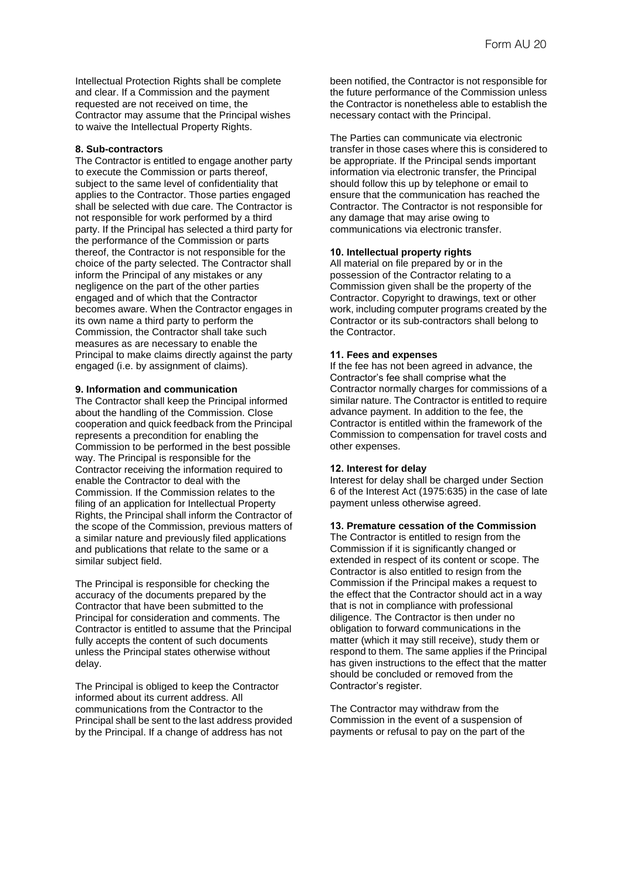Intellectual Protection Rights shall be complete and clear. If a Commission and the payment requested are not received on time, the Contractor may assume that the Principal wishes to waive the Intellectual Property Rights.

### **8. Sub-contractors**

The Contractor is entitled to engage another party to execute the Commission or parts thereof, subject to the same level of confidentiality that applies to the Contractor. Those parties engaged shall be selected with due care. The Contractor is not responsible for work performed by a third party. If the Principal has selected a third party for the performance of the Commission or parts thereof, the Contractor is not responsible for the choice of the party selected. The Contractor shall inform the Principal of any mistakes or any negligence on the part of the other parties engaged and of which that the Contractor becomes aware. When the Contractor engages in its own name a third party to perform the Commission, the Contractor shall take such measures as are necessary to enable the Principal to make claims directly against the party engaged (i.e. by assignment of claims).

#### **9. Information and communication**

The Contractor shall keep the Principal informed about the handling of the Commission. Close cooperation and quick feedback from the Principal represents a precondition for enabling the Commission to be performed in the best possible way. The Principal is responsible for the Contractor receiving the information required to enable the Contractor to deal with the Commission. If the Commission relates to the filing of an application for Intellectual Property Rights, the Principal shall inform the Contractor of the scope of the Commission, previous matters of a similar nature and previously filed applications and publications that relate to the same or a similar subject field.

The Principal is responsible for checking the accuracy of the documents prepared by the Contractor that have been submitted to the Principal for consideration and comments. The Contractor is entitled to assume that the Principal fully accepts the content of such documents unless the Principal states otherwise without delay.

The Principal is obliged to keep the Contractor informed about its current address. All communications from the Contractor to the Principal shall be sent to the last address provided by the Principal. If a change of address has not

been notified, the Contractor is not responsible for the future performance of the Commission unless the Contractor is nonetheless able to establish the necessary contact with the Principal.

The Parties can communicate via electronic transfer in those cases where this is considered to be appropriate. If the Principal sends important information via electronic transfer, the Principal should follow this up by telephone or email to ensure that the communication has reached the Contractor. The Contractor is not responsible for any damage that may arise owing to communications via electronic transfer.

### **10. Intellectual property rights**

All material on file prepared by or in the possession of the Contractor relating to a Commission given shall be the property of the Contractor. Copyright to drawings, text or other work, including computer programs created by the Contractor or its sub-contractors shall belong to the Contractor.

### **11. Fees and expenses**

If the fee has not been agreed in advance, the Contractor's fee shall comprise what the Contractor normally charges for commissions of a similar nature. The Contractor is entitled to require advance payment. In addition to the fee, the Contractor is entitled within the framework of the Commission to compensation for travel costs and other expenses.

#### **12. Interest for delay**

Interest for delay shall be charged under Section 6 of the Interest Act (1975:635) in the case of late payment unless otherwise agreed.

# **13. Premature cessation of the Commission**

The Contractor is entitled to resign from the Commission if it is significantly changed or extended in respect of its content or scope. The Contractor is also entitled to resign from the Commission if the Principal makes a request to the effect that the Contractor should act in a way that is not in compliance with professional diligence. The Contractor is then under no obligation to forward communications in the matter (which it may still receive), study them or respond to them. The same applies if the Principal has given instructions to the effect that the matter should be concluded or removed from the Contractor's register.

The Contractor may withdraw from the Commission in the event of a suspension of payments or refusal to pay on the part of the